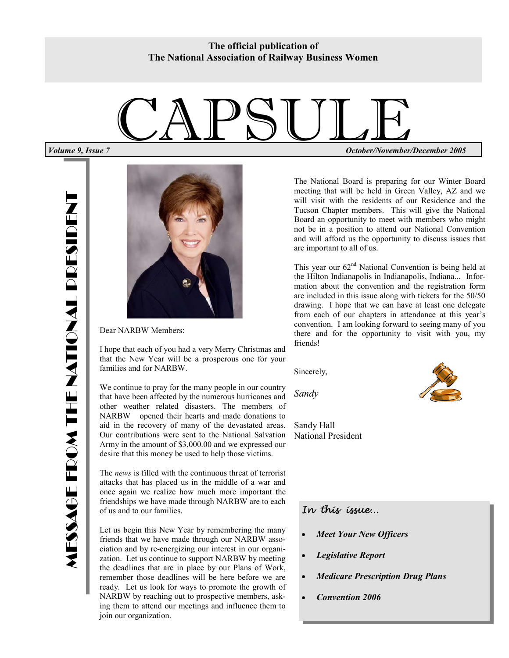**The official publication of The National Association of Railway Business Women** 



Dear NARBW Members:

I hope that each of you had a very Merry Christmas and that the New Year will be a prosperous one for your families and for NARBW.

We continue to pray for the many people in our country that have been affected by the numerous hurricanes and other weather related disasters. The members of NARBW opened their hearts and made donations to aid in the recovery of many of the devastated areas. Our contributions were sent to the National Salvation Army in the amount of \$3,000.00 and we expressed our desire that this money be used to help those victims.

The *news* is filled with the continuous threat of terrorist attacks that has placed us in the middle of a war and once again we realize how much more important the friendships we have made through NARBW are to each of us and to our families.

Let us begin this New Year by remembering the many friends that we have made through our NARBW association and by re-energizing our interest in our organization. Let us continue to support NARBW by meeting the deadlines that are in place by our Plans of Work, remember those deadlines will be here before we are ready. Let us look for ways to promote the growth of NARBW by reaching out to prospective members, asking them to attend our meetings and influence them to join our organization.

CAPSULE *Volume 9, Issue 7 October/November/December 2005* 

> The National Board is preparing for our Winter Board meeting that will be held in Green Valley, AZ and we will visit with the residents of our Residence and the Tucson Chapter members. This will give the National Board an opportunity to meet with members who might not be in a position to attend our National Convention and will afford us the opportunity to discuss issues that are important to all of us.

> This year our  $62<sup>nd</sup>$  National Convention is being held at the Hilton Indianapolis in Indianapolis, Indiana... Information about the convention and the registration form are included in this issue along with tickets for the 50/50 drawing. I hope that we can have at least one delegate from each of our chapters in attendance at this year's convention. I am looking forward to seeing many of you there and for the opportunity to visit with you, my friends!

Sincerely,

*Sandy* 

Sandy Hall National President



#### *In this issue...*

- *Meet Your New Officers*
- *Legislative Report*
- *Medicare Prescription Drug Plans*
- *Convention 2006*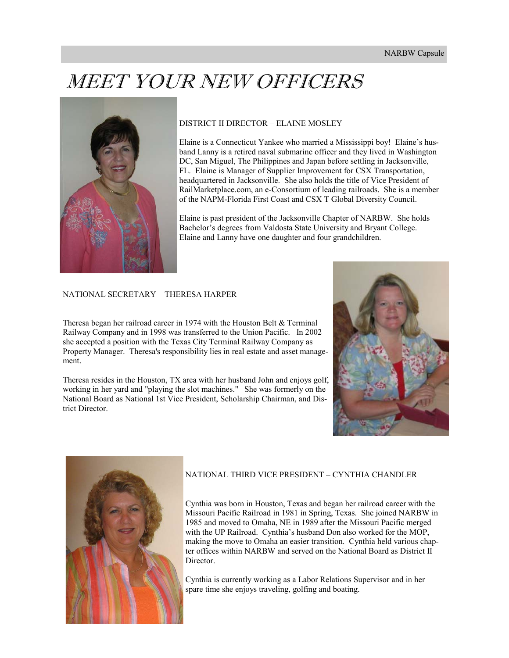## MEET YOUR NEW OFFICERS



#### DISTRICT II DIRECTOR – ELAINE MOSLEY

Elaine is a Connecticut Yankee who married a Mississippi boy! Elaine's husband Lanny is a retired naval submarine officer and they lived in Washington DC, San Miguel, The Philippines and Japan before settling in Jacksonville, FL. Elaine is Manager of Supplier Improvement for CSX Transportation, headquartered in Jacksonville. She also holds the title of Vice President of RailMarketplace.com, an e-Consortium of leading railroads. She is a member of the NAPM-Florida First Coast and CSX T Global Diversity Council.

Elaine is past president of the Jacksonville Chapter of NARBW. She holds Bachelor's degrees from Valdosta State University and Bryant College. Elaine and Lanny have one daughter and four grandchildren.

#### NATIONAL SECRETARY – THERESA HARPER

Theresa began her railroad career in 1974 with the Houston Belt & Terminal Railway Company and in 1998 was transferred to the Union Pacific. In 2002 she accepted a position with the Texas City Terminal Railway Company as Property Manager. Theresa's responsibility lies in real estate and asset management.

Theresa resides in the Houston, TX area with her husband John and enjoys golf, working in her yard and "playing the slot machines." She was formerly on the National Board as National 1st Vice President, Scholarship Chairman, and District Director.





#### NATIONAL THIRD VICE PRESIDENT – CYNTHIA CHANDLER

Cynthia was born in Houston, Texas and began her railroad career with the Missouri Pacific Railroad in 1981 in Spring, Texas. She joined NARBW in 1985 and moved to Omaha, NE in 1989 after the Missouri Pacific merged with the UP Railroad. Cynthia's husband Don also worked for the MOP, making the move to Omaha an easier transition. Cynthia held various chapter offices within NARBW and served on the National Board as District II Director.

Cynthia is currently working as a Labor Relations Supervisor and in her spare time she enjoys traveling, golfing and boating.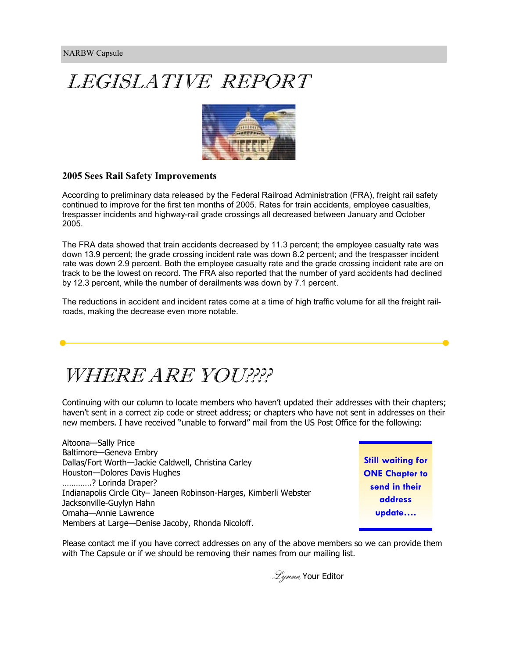## LEGISLATIVE REPORT



#### **2005 Sees Rail Safety Improvements**

According to preliminary data released by the Federal Railroad Administration (FRA), freight rail safety continued to improve for the first ten months of 2005. Rates for train accidents, employee casualties, trespasser incidents and highway-rail grade crossings all decreased between January and October 2005.

The FRA data showed that train accidents decreased by 11.3 percent; the employee casualty rate was down 13.9 percent; the grade crossing incident rate was down 8.2 percent; and the trespasser incident rate was down 2.9 percent. Both the employee casualty rate and the grade crossing incident rate are on track to be the lowest on record. The FRA also reported that the number of yard accidents had declined by 12.3 percent, while the number of derailments was down by 7.1 percent.

The reductions in accident and incident rates come at a time of high traffic volume for all the freight railroads, making the decrease even more notable.

## WHERE ARE YOU????

Continuing with our column to locate members who haven't updated their addresses with their chapters; haven't sent in a correct zip code or street address; or chapters who have not sent in addresses on their new members. I have received "unable to forward" mail from the US Post Office for the following:

Altoona—Sally Price Baltimore—Geneva Embry Dallas/Fort Worth—Jackie Caldwell, Christina Carley Houston—Dolores Davis Hughes ………….? Lorinda Draper? Indianapolis Circle City– Janeen Robinson-Harges, Kimberli Webster Jacksonville-Guylyn Hahn Omaha—Annie Lawrence Members at Large—Denise Jacoby, Rhonda Nicoloff.

**Still waiting for ONE Chapter to send in their address update….** 

Please contact me if you have correct addresses on any of the above members so we can provide them with The Capsule or if we should be removing their names from our mailing list.

*Lynne*, Your Editor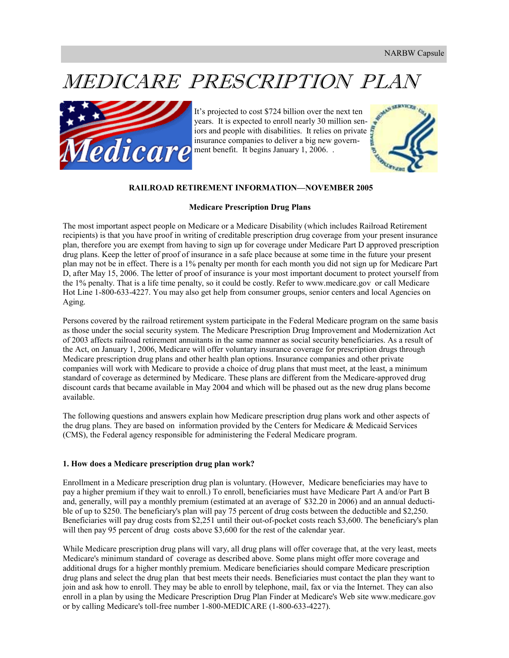## MEDICARE PRESCRIPTION PLAN



It's projected to cost \$724 billion over the next ten years. It is expected to enroll nearly 30 million seniors and people with disabilities. It relies on private insurance companies to deliver a big new government benefit. It begins January 1, 2006. .



#### **RAILROAD RETIREMENT INFORMATION—NOVEMBER 2005**

#### **Medicare Prescription Drug Plans**

The most important aspect people on Medicare or a Medicare Disability (which includes Railroad Retirement recipients) is that you have proof in writing of creditable prescription drug coverage from your present insurance plan, therefore you are exempt from having to sign up for coverage under Medicare Part D approved prescription drug plans. Keep the letter of proof of insurance in a safe place because at some time in the future your present plan may not be in effect. There is a 1% penalty per month for each month you did not sign up for Medicare Part D, after May 15, 2006. The letter of proof of insurance is your most important document to protect yourself from the 1% penalty. That is a life time penalty, so it could be costly. Refer to www.medicare.gov or call Medicare Hot Line 1-800-633-4227. You may also get help from consumer groups, senior centers and local Agencies on Aging.

Persons covered by the railroad retirement system participate in the Federal Medicare program on the same basis as those under the social security system. The Medicare Prescription Drug Improvement and Modernization Act of 2003 affects railroad retirement annuitants in the same manner as social security beneficiaries. As a result of the Act, on January 1, 2006, Medicare will offer voluntary insurance coverage for prescription drugs through Medicare prescription drug plans and other health plan options. Insurance companies and other private companies will work with Medicare to provide a choice of drug plans that must meet, at the least, a minimum standard of coverage as determined by Medicare. These plans are different from the Medicare-approved drug discount cards that became available in May 2004 and which will be phased out as the new drug plans become available.

The following questions and answers explain how Medicare prescription drug plans work and other aspects of the drug plans. They are based on information provided by the Centers for Medicare & Medicaid Services (CMS), the Federal agency responsible for administering the Federal Medicare program.

#### **1. How does a Medicare prescription drug plan work?**

Enrollment in a Medicare prescription drug plan is voluntary. (However, Medicare beneficiaries may have to pay a higher premium if they wait to enroll.) To enroll, beneficiaries must have Medicare Part A and/or Part B and, generally, will pay a monthly premium (estimated at an average of \$32.20 in 2006) and an annual deductible of up to \$250. The beneficiary's plan will pay 75 percent of drug costs between the deductible and \$2,250. Beneficiaries will pay drug costs from \$2,251 until their out-of-pocket costs reach \$3,600. The beneficiary's plan will then pay 95 percent of drug costs above \$3,600 for the rest of the calendar year.

While Medicare prescription drug plans will vary, all drug plans will offer coverage that, at the very least, meets Medicare's minimum standard of coverage as described above. Some plans might offer more coverage and additional drugs for a higher monthly premium. Medicare beneficiaries should compare Medicare prescription drug plans and select the drug plan that best meets their needs. Beneficiaries must contact the plan they want to join and ask how to enroll. They may be able to enroll by telephone, mail, fax or via the Internet. They can also enroll in a plan by using the Medicare Prescription Drug Plan Finder at Medicare's Web site www.medicare.gov or by calling Medicare's toll-free number 1-800-MEDICARE (1-800-633-4227).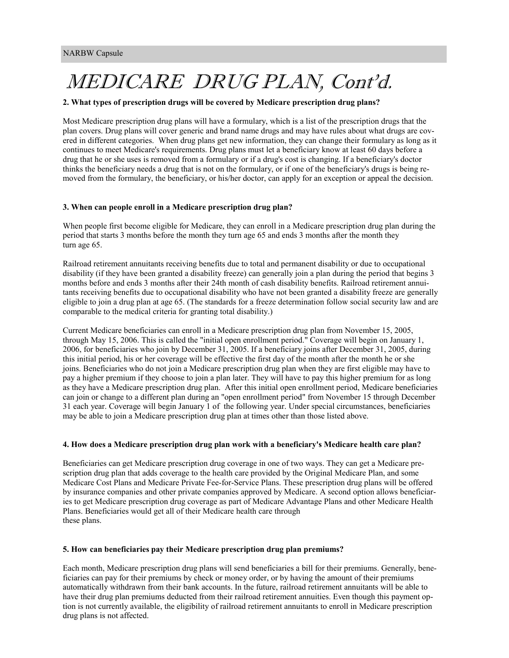## MEDICARE DRUG PLAN, Cont'd.

#### **2. What types of prescription drugs will be covered by Medicare prescription drug plans?**

Most Medicare prescription drug plans will have a formulary, which is a list of the prescription drugs that the plan covers. Drug plans will cover generic and brand name drugs and may have rules about what drugs are covered in different categories. When drug plans get new information, they can change their formulary as long as it continues to meet Medicare's requirements. Drug plans must let a beneficiary know at least 60 days before a drug that he or she uses is removed from a formulary or if a drug's cost is changing. If a beneficiary's doctor thinks the beneficiary needs a drug that is not on the formulary, or if one of the beneficiary's drugs is being removed from the formulary, the beneficiary, or his/her doctor, can apply for an exception or appeal the decision.

#### **3. When can people enroll in a Medicare prescription drug plan?**

When people first become eligible for Medicare, they can enroll in a Medicare prescription drug plan during the period that starts 3 months before the month they turn age 65 and ends 3 months after the month they turn age 65.

Railroad retirement annuitants receiving benefits due to total and permanent disability or due to occupational disability (if they have been granted a disability freeze) can generally join a plan during the period that begins 3 months before and ends 3 months after their 24th month of cash disability benefits. Railroad retirement annuitants receiving benefits due to occupational disability who have not been granted a disability freeze are generally eligible to join a drug plan at age 65. (The standards for a freeze determination follow social security law and are comparable to the medical criteria for granting total disability.)

Current Medicare beneficiaries can enroll in a Medicare prescription drug plan from November 15, 2005, through May 15, 2006. This is called the "initial open enrollment period." Coverage will begin on January 1, 2006, for beneficiaries who join by December 31, 2005. If a beneficiary joins after December 31, 2005, during this initial period, his or her coverage will be effective the first day of the month after the month he or she joins. Beneficiaries who do not join a Medicare prescription drug plan when they are first eligible may have to pay a higher premium if they choose to join a plan later. They will have to pay this higher premium for as long as they have a Medicare prescription drug plan. After this initial open enrollment period, Medicare beneficiaries can join or change to a different plan during an "open enrollment period" from November 15 through December 31 each year. Coverage will begin January 1 of the following year. Under special circumstances, beneficiaries may be able to join a Medicare prescription drug plan at times other than those listed above.

#### **4. How does a Medicare prescription drug plan work with a beneficiary's Medicare health care plan?**

Beneficiaries can get Medicare prescription drug coverage in one of two ways. They can get a Medicare prescription drug plan that adds coverage to the health care provided by the Original Medicare Plan, and some Medicare Cost Plans and Medicare Private Fee-for-Service Plans. These prescription drug plans will be offered by insurance companies and other private companies approved by Medicare. A second option allows beneficiaries to get Medicare prescription drug coverage as part of Medicare Advantage Plans and other Medicare Health Plans. Beneficiaries would get all of their Medicare health care through these plans.

#### **5. How can beneficiaries pay their Medicare prescription drug plan premiums?**

Each month, Medicare prescription drug plans will send beneficiaries a bill for their premiums. Generally, beneficiaries can pay for their premiums by check or money order, or by having the amount of their premiums automatically withdrawn from their bank accounts. In the future, railroad retirement annuitants will be able to have their drug plan premiums deducted from their railroad retirement annuities. Even though this payment option is not currently available, the eligibility of railroad retirement annuitants to enroll in Medicare prescription drug plans is not affected.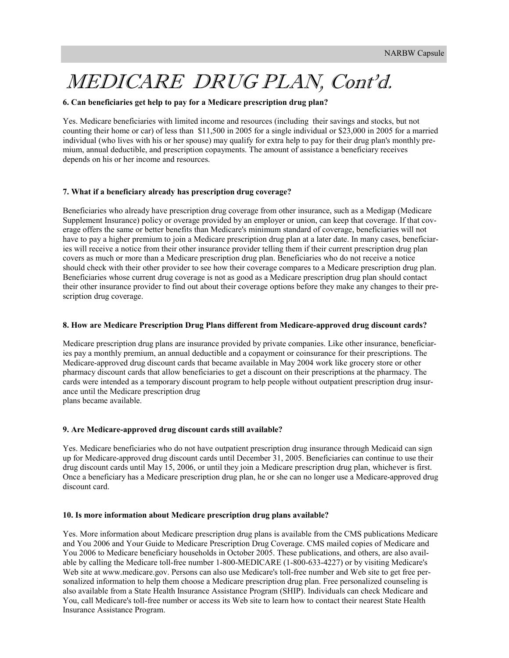## MEDICARE DRUG PLAN, Cont'd.

#### **6. Can beneficiaries get help to pay for a Medicare prescription drug plan?**

Yes. Medicare beneficiaries with limited income and resources (including their savings and stocks, but not counting their home or car) of less than \$11,500 in 2005 for a single individual or \$23,000 in 2005 for a married individual (who lives with his or her spouse) may qualify for extra help to pay for their drug plan's monthly premium, annual deductible, and prescription copayments. The amount of assistance a beneficiary receives depends on his or her income and resources.

#### **7. What if a beneficiary already has prescription drug coverage?**

Beneficiaries who already have prescription drug coverage from other insurance, such as a Medigap (Medicare Supplement Insurance) policy or overage provided by an employer or union, can keep that coverage. If that coverage offers the same or better benefits than Medicare's minimum standard of coverage, beneficiaries will not have to pay a higher premium to join a Medicare prescription drug plan at a later date. In many cases, beneficiaries will receive a notice from their other insurance provider telling them if their current prescription drug plan covers as much or more than a Medicare prescription drug plan. Beneficiaries who do not receive a notice should check with their other provider to see how their coverage compares to a Medicare prescription drug plan. Beneficiaries whose current drug coverage is not as good as a Medicare prescription drug plan should contact their other insurance provider to find out about their coverage options before they make any changes to their prescription drug coverage.

#### **8. How are Medicare Prescription Drug Plans different from Medicare-approved drug discount cards?**

Medicare prescription drug plans are insurance provided by private companies. Like other insurance, beneficiaries pay a monthly premium, an annual deductible and a copayment or coinsurance for their prescriptions. The Medicare-approved drug discount cards that became available in May 2004 work like grocery store or other pharmacy discount cards that allow beneficiaries to get a discount on their prescriptions at the pharmacy. The cards were intended as a temporary discount program to help people without outpatient prescription drug insurance until the Medicare prescription drug plans became available.

#### **9. Are Medicare-approved drug discount cards still available?**

Yes. Medicare beneficiaries who do not have outpatient prescription drug insurance through Medicaid can sign up for Medicare-approved drug discount cards until December 31, 2005. Beneficiaries can continue to use their drug discount cards until May 15, 2006, or until they join a Medicare prescription drug plan, whichever is first. Once a beneficiary has a Medicare prescription drug plan, he or she can no longer use a Medicare-approved drug discount card.

#### **10. Is more information about Medicare prescription drug plans available?**

Yes. More information about Medicare prescription drug plans is available from the CMS publications Medicare and You 2006 and Your Guide to Medicare Prescription Drug Coverage. CMS mailed copies of Medicare and You 2006 to Medicare beneficiary households in October 2005. These publications, and others, are also available by calling the Medicare toll-free number 1-800-MEDICARE (1-800-633-4227) or by visiting Medicare's Web site at www.medicare.gov. Persons can also use Medicare's toll-free number and Web site to get free personalized information to help them choose a Medicare prescription drug plan. Free personalized counseling is also available from a State Health Insurance Assistance Program (SHIP). Individuals can check Medicare and You, call Medicare's toll-free number or access its Web site to learn how to contact their nearest State Health Insurance Assistance Program.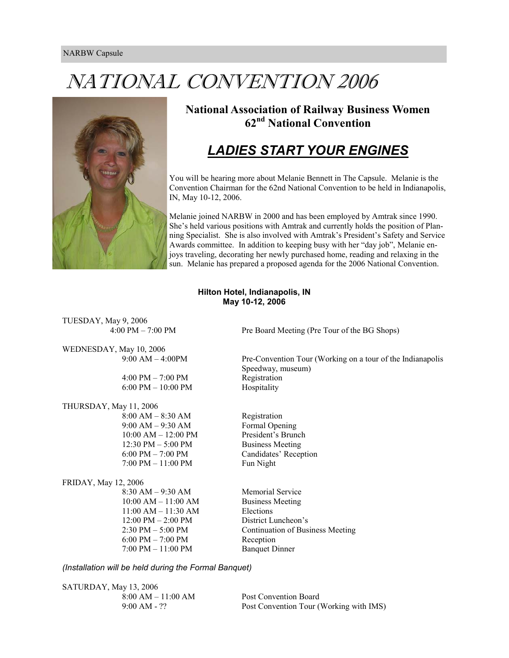## NATIONAL CONVENTION 2006



**National Association of Railway Business Women 62nd National Convention** 

### *LADIES START YOUR ENGINES*

You will be hearing more about Melanie Bennett in The Capsule. Melanie is the Convention Chairman for the 62nd National Convention to be held in Indianapolis, IN, May 10-12, 2006.

Melanie joined NARBW in 2000 and has been employed by Amtrak since 1990. She's held various positions with Amtrak and currently holds the position of Planning Specialist. She is also involved with Amtrak's President's Safety and Service Awards committee. In addition to keeping busy with her "day job", Melanie enjoys traveling, decorating her newly purchased home, reading and relaxing in the sun. Melanie has prepared a proposed agenda for the 2006 National Convention.

#### **Hilton Hotel, Indianapolis, IN May 10-12, 2006**

TUESDAY, May 9, 2006

WEDNESDAY, May 10, 2006

 $4:00 \text{ PM} - 7:00 \text{ PM}$  Registration  $6:00 \text{ PM} - 10:00 \text{ PM}$  Hospitality

THURSDAY, May 11, 2006

 8:00 AM – 8:30 AM Registration 9:00 AM – 9:30 AM Formal Opening 10:00 AM – 12:00 PM President's Brunch 12:30 PM – 5:00 PM Business Meeting 6:00 PM – 7:00 PM Candidates' Reception 7:00 PM – 11:00 PM Fun Night

#### FRIDAY, May 12, 2006

8:30 AM – 9:30 AM Memorial Service  $10:00$  AM –  $11:00$  AM Business Meeting 11:00 AM – 11:30 AM Elections 12:00 PM – 2:00 PM District Luncheon's  $6:00 \text{ PM} - 7:00 \text{ PM}$  Reception 7:00 PM – 11:00 PM Banquet Dinner

4:00 PM – 7:00 PM Pre Board Meeting (Pre Tour of the BG Shops)

9:00 AM – 4:00PM Pre-Convention Tour (Working on a tour of the Indianapolis Speedway, museum)

2:30 PM – 5:00 PM Continuation of Business Meeting

#### *(Installation will be held during the Formal Banquet)*

SATURDAY, May 13, 2006

8:00 AM – 11:00 AM Post Convention Board 9:00 AM - ?? Post Convention Tour (Working with IMS)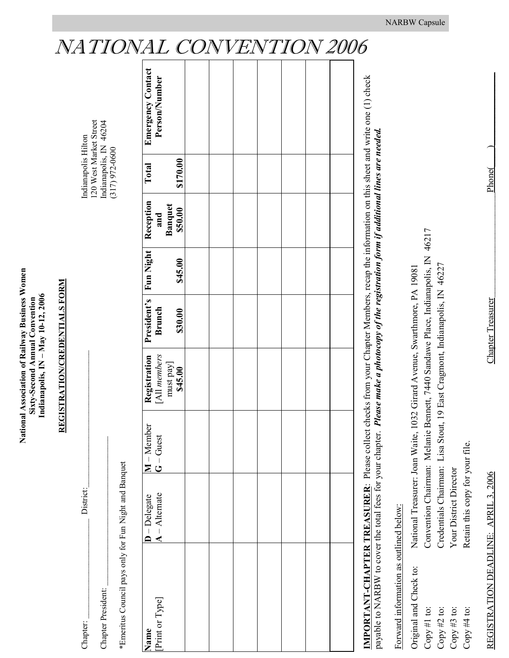## **National Association of Railway Business Women**  National Association of Railway Business Women Indianapolis, IN - May 10-12, 2006 **Indianapolis, IN – May 10-12, 2006**  Sixty-Second Annual Convention **Sixty-Second Annual Convention**

# **REGISTRATION/CREDENTIALS FORM REGISTRATION/CREDENTIALS FORM**

\*Emeritus Council pays only for Fun Night and Banquet \*Emeritus Council pays only for Fun Night and Banquet

| hapter:<br>j                                | District | dianapo <sub>l</sub> | H                                 |
|---------------------------------------------|----------|----------------------|-----------------------------------|
|                                             |          |                      | ית היא<br>rea.<br>0 West Market S |
| Chapter President:                          |          |                      | -2070<br>Indianapolis, IN 46204   |
|                                             |          | こくへい へいへん こうこう<br>I  | )<br>1<br>1                       |
| :<br>$\begin{bmatrix} 1 \\ 1 \end{bmatrix}$ | ļ        |                      |                                   |

| 1 4                                                               | ノム       | V<br>V | $\mathbf{L}$<br>11 | v<br>$\overline{\mathbf{r}}$ | ┸<br>$\mathcal{L}$ | V | クレク |
|-------------------------------------------------------------------|----------|--------|--------------------|------------------------------|--------------------|---|-----|
| <b>Emergency Contact</b><br>Person/Number                         |          |        |                    |                              |                    |   |     |
| Total                                                             | \$170.00 |        |                    |                              |                    |   |     |
| Banquet<br>\$50.00                                                |          |        |                    |                              |                    |   |     |
|                                                                   | \$45.00  |        |                    |                              |                    |   |     |
| <b>President's Fun Night</b> Reception<br>Brunch <b>Reception</b> | \$30.00  |        |                    |                              |                    |   |     |
| <b>Registration</b><br>[All members<br>must pay]<br>\$45.00       |          |        |                    |                              |                    |   |     |
| M – Member<br>G – Guest                                           |          |        |                    |                              |                    |   |     |
| $\overline{\mathbf{D}}$ - Delegate<br>$\mathbf{A}$ - Alternate    |          |        |                    |                              |                    |   |     |
| [Print or Type]<br>Name                                           |          |        |                    |                              |                    |   |     |

**IMPORTANT-CHAPTER TREASURER**: Please collect checks from your Chapter Members, recap the information on this sheet and write one (1) check IMPORTANT-CHAPTER TREASURER: Please collect checks from your Chapter Members, recap the information on this sheet and write one (1) check payable to NARBW to cover the total fees for your chapter. Please make a photocopy of the registration form if additional lines are needed. payable to NARBW to cover the total fees for your chapter. *Please make a photocopy of the registration form if additional lines are needed.*

Forward information as outlined below: Forward information as outlined below:

| Original and Check to: | National Treasurer: Joan Waite, 1032 Girard Avenue, Swarthmore, PA 19081        |
|------------------------|---------------------------------------------------------------------------------|
| Copy #1 to:            | Onvention Chairman: Melanie Bennett, 7440 Sandawe Place, Indianapolis, IN 46217 |
| Copy $#2$ to:          | Tredentials Chairman: Lisa Stout, 19 East Cragmont, Indianapolis, IN 46227      |
| Copy #3 to:            | Your District Director                                                          |
| Copy #4 to:            | Aetain this copy for your file.                                                 |
|                        |                                                                                 |

REGISTRATION DEADLINE: APRIL 3, 2006 Chapter Treasurer\_\_\_\_\_\_\_\_\_\_\_\_\_\_\_\_\_\_\_\_\_\_\_Phone(\_\_\_\_)\_\_\_\_\_\_\_\_\_\_\_\_\_\_\_\_

REGISTRATION DEADLINE: APRIL 3, 2006

**Chapter Treasurer** 

Phone<sup>(</sup>

## NATIONAL CONVENTION 2006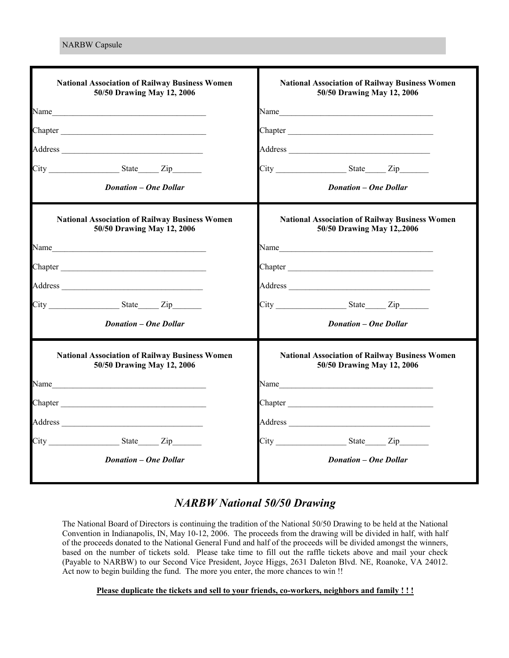| <b>National Association of Railway Business Women</b><br>50/50 Drawing May 12, 2006                                                                                                                                            | <b>National Association of Railway Business Women</b><br>50/50 Drawing May 12, 2006                                                                                                                                           |  |  |  |
|--------------------------------------------------------------------------------------------------------------------------------------------------------------------------------------------------------------------------------|-------------------------------------------------------------------------------------------------------------------------------------------------------------------------------------------------------------------------------|--|--|--|
| Name                                                                                                                                                                                                                           |                                                                                                                                                                                                                               |  |  |  |
| Chapter                                                                                                                                                                                                                        |                                                                                                                                                                                                                               |  |  |  |
|                                                                                                                                                                                                                                |                                                                                                                                                                                                                               |  |  |  |
|                                                                                                                                                                                                                                | $City$ ${\color{red} 2ip}$ ${\color{red} 2ip}$                                                                                                                                                                                |  |  |  |
| <b>Donation - One Dollar</b>                                                                                                                                                                                                   | <b>Donation - One Dollar</b>                                                                                                                                                                                                  |  |  |  |
| <b>National Association of Railway Business Women</b><br>50/50 Drawing May 12, 2006                                                                                                                                            | <b>National Association of Railway Business Women</b><br>50/50 Drawing May 12,.2006                                                                                                                                           |  |  |  |
| Name and the state of the state of the state of the state of the state of the state of the state of the state of the state of the state of the state of the state of the state of the state of the state of the state of the s |                                                                                                                                                                                                                               |  |  |  |
|                                                                                                                                                                                                                                |                                                                                                                                                                                                                               |  |  |  |
|                                                                                                                                                                                                                                |                                                                                                                                                                                                                               |  |  |  |
| $City$ $Size$ $Zip$                                                                                                                                                                                                            | $City$ $Size$ $Size$                                                                                                                                                                                                          |  |  |  |
| <b>Donation – One Dollar</b>                                                                                                                                                                                                   | <b>Donation – One Dollar</b>                                                                                                                                                                                                  |  |  |  |
| <b>National Association of Railway Business Women</b><br>50/50 Drawing May 12, 2006                                                                                                                                            | <b>National Association of Railway Business Women</b><br>50/50 Drawing May 12, 2006                                                                                                                                           |  |  |  |
| Name experience and the second service of the service of the service of the service of the service of the service of the service of the service of the service of the service of the service of the service of the service of  | Name experience and the second service of the service of the service of the service of the service of the service of the service of the service of the service of the service of the service of the service of the service of |  |  |  |
|                                                                                                                                                                                                                                |                                                                                                                                                                                                                               |  |  |  |
|                                                                                                                                                                                                                                |                                                                                                                                                                                                                               |  |  |  |
|                                                                                                                                                                                                                                | $City$ ${\color{red} 2ip}$ ${\color{red} 2ip}$                                                                                                                                                                                |  |  |  |
| <b>Donation – One Dollar</b>                                                                                                                                                                                                   | <b>Donation – One Dollar</b>                                                                                                                                                                                                  |  |  |  |

#### *NARBW National 50/50 Drawing*

The National Board of Directors is continuing the tradition of the National 50/50 Drawing to be held at the National Convention in Indianapolis, IN, May 10-12, 2006. The proceeds from the drawing will be divided in half, with half of the proceeds donated to the National General Fund and half of the proceeds will be divided amongst the winners, based on the number of tickets sold. Please take time to fill out the raffle tickets above and mail your check (Payable to NARBW) to our Second Vice President, Joyce Higgs, 2631 Daleton Blvd. NE, Roanoke, VA 24012. Act now to begin building the fund. The more you enter, the more chances to win !!

#### **Please duplicate the tickets and sell to your friends, co-workers, neighbors and family ! ! !**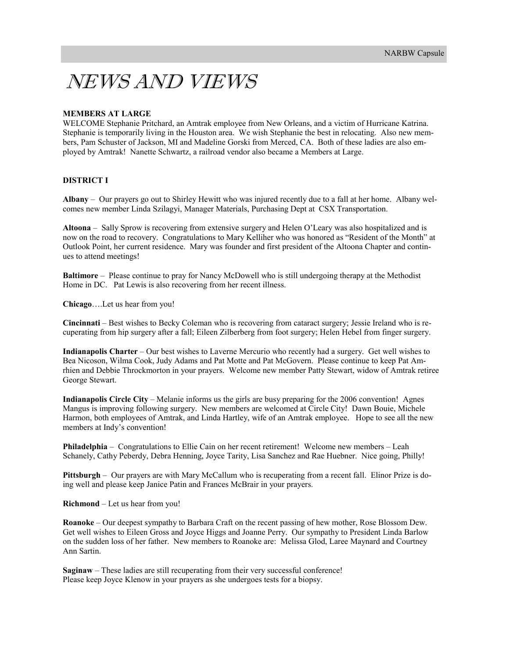## NEWS AND VIEWS

#### **MEMBERS AT LARGE**

WELCOME Stephanie Pritchard, an Amtrak employee from New Orleans, and a victim of Hurricane Katrina. Stephanie is temporarily living in the Houston area. We wish Stephanie the best in relocating. Also new members, Pam Schuster of Jackson, MI and Madeline Gorski from Merced, CA. Both of these ladies are also employed by Amtrak! Nanette Schwartz, a railroad vendor also became a Members at Large.

#### **DISTRICT I**

**Albany** – Our prayers go out to Shirley Hewitt who was injured recently due to a fall at her home. Albany welcomes new member Linda Szilagyi, Manager Materials, Purchasing Dept at CSX Transportation.

**Altoona** – Sally Sprow is recovering from extensive surgery and Helen O'Leary was also hospitalized and is now on the road to recovery. Congratulations to Mary Kelliher who was honored as "Resident of the Month" at Outlook Point, her current residence. Mary was founder and first president of the Altoona Chapter and continues to attend meetings!

**Baltimore** – Please continue to pray for Nancy McDowell who is still undergoing therapy at the Methodist Home in DC. Pat Lewis is also recovering from her recent illness.

**Chicago**….Let us hear from you!

**Cincinnati** – Best wishes to Becky Coleman who is recovering from cataract surgery; Jessie Ireland who is recuperating from hip surgery after a fall; Eileen Zilberberg from foot surgery; Helen Hebel from finger surgery.

**Indianapolis Charter** – Our best wishes to Laverne Mercurio who recently had a surgery. Get well wishes to Bea Nicoson, Wilma Cook, Judy Adams and Pat Motte and Pat McGovern. Please continue to keep Pat Amrhien and Debbie Throckmorton in your prayers. Welcome new member Patty Stewart, widow of Amtrak retiree George Stewart.

**Indianapolis Circle City** – Melanie informs us the girls are busy preparing for the 2006 convention! Agnes Mangus is improving following surgery. New members are welcomed at Circle City! Dawn Bouie, Michele Harmon, both employees of Amtrak, and Linda Hartley, wife of an Amtrak employee. Hope to see all the new members at Indy's convention!

**Philadelphia** – Congratulations to Ellie Cain on her recent retirement! Welcome new members – Leah Schanely, Cathy Peberdy, Debra Henning, Joyce Tarity, Lisa Sanchez and Rae Huebner. Nice going, Philly!

**Pittsburgh** – Our prayers are with Mary McCallum who is recuperating from a recent fall. Elinor Prize is doing well and please keep Janice Patin and Frances McBrair in your prayers.

**Richmond** – Let us hear from you!

**Roanoke** – Our deepest sympathy to Barbara Craft on the recent passing of hew mother, Rose Blossom Dew. Get well wishes to Eileen Gross and Joyce Higgs and Joanne Perry. Our sympathy to President Linda Barlow on the sudden loss of her father. New members to Roanoke are: Melissa Glod, Laree Maynard and Courtney Ann Sartin.

**Saginaw** – These ladies are still recuperating from their very successful conference! Please keep Joyce Klenow in your prayers as she undergoes tests for a biopsy.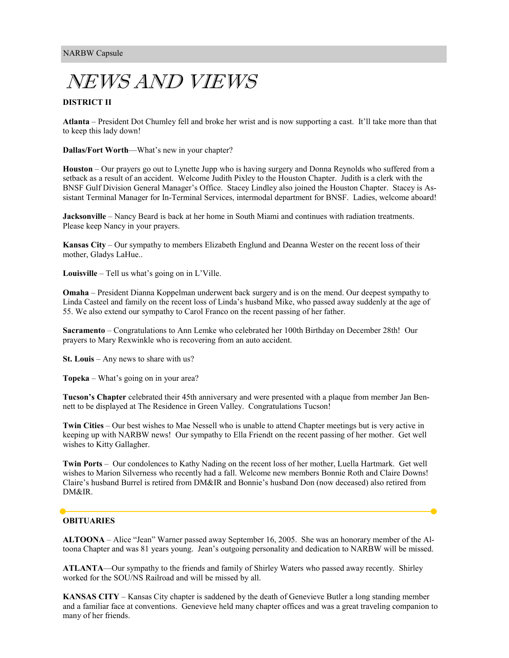## NEWS AND VIEWS

#### **DISTRICT II**

**Atlanta** – President Dot Chumley fell and broke her wrist and is now supporting a cast. It'll take more than that to keep this lady down!

**Dallas/Fort Worth**—What's new in your chapter?

**Houston** – Our prayers go out to Lynette Jupp who is having surgery and Donna Reynolds who suffered from a setback as a result of an accident. Welcome Judith Pixley to the Houston Chapter. Judith is a clerk with the BNSF Gulf Division General Manager's Office. Stacey Lindley also joined the Houston Chapter. Stacey is Assistant Terminal Manager for In-Terminal Services, intermodal department for BNSF. Ladies, welcome aboard!

**Jacksonville** – Nancy Beard is back at her home in South Miami and continues with radiation treatments. Please keep Nancy in your prayers.

**Kansas City** – Our sympathy to members Elizabeth Englund and Deanna Wester on the recent loss of their mother, Gladys LaHue..

**Louisville** – Tell us what's going on in L'Ville.

**Omaha** – President Dianna Koppelman underwent back surgery and is on the mend. Our deepest sympathy to Linda Casteel and family on the recent loss of Linda's husband Mike, who passed away suddenly at the age of 55. We also extend our sympathy to Carol Franco on the recent passing of her father.

**Sacramento** – Congratulations to Ann Lemke who celebrated her 100th Birthday on December 28th! Our prayers to Mary Rexwinkle who is recovering from an auto accident.

**St. Louis** – Any news to share with us?

**Topeka** – What's going on in your area?

**Tucson's Chapter** celebrated their 45th anniversary and were presented with a plaque from member Jan Bennett to be displayed at The Residence in Green Valley. Congratulations Tucson!

**Twin Cities** – Our best wishes to Mae Nessell who is unable to attend Chapter meetings but is very active in keeping up with NARBW news! Our sympathy to Ella Friendt on the recent passing of her mother. Get well wishes to Kitty Gallagher.

**Twin Ports** – Our condolences to Kathy Nading on the recent loss of her mother, Luella Hartmark. Get well wishes to Marion Silverness who recently had a fall. Welcome new members Bonnie Roth and Claire Downs! Claire's husband Burrel is retired from DM&IR and Bonnie's husband Don (now deceased) also retired from DM&IR.

#### **OBITUARIES**

**ALTOONA** – Alice "Jean" Warner passed away September 16, 2005. She was an honorary member of the Altoona Chapter and was 81 years young. Jean's outgoing personality and dedication to NARBW will be missed.

**ATLANTA**—Our sympathy to the friends and family of Shirley Waters who passed away recently. Shirley worked for the SOU/NS Railroad and will be missed by all.

**KANSAS CITY** – Kansas City chapter is saddened by the death of Genevieve Butler a long standing member and a familiar face at conventions. Genevieve held many chapter offices and was a great traveling companion to many of her friends.